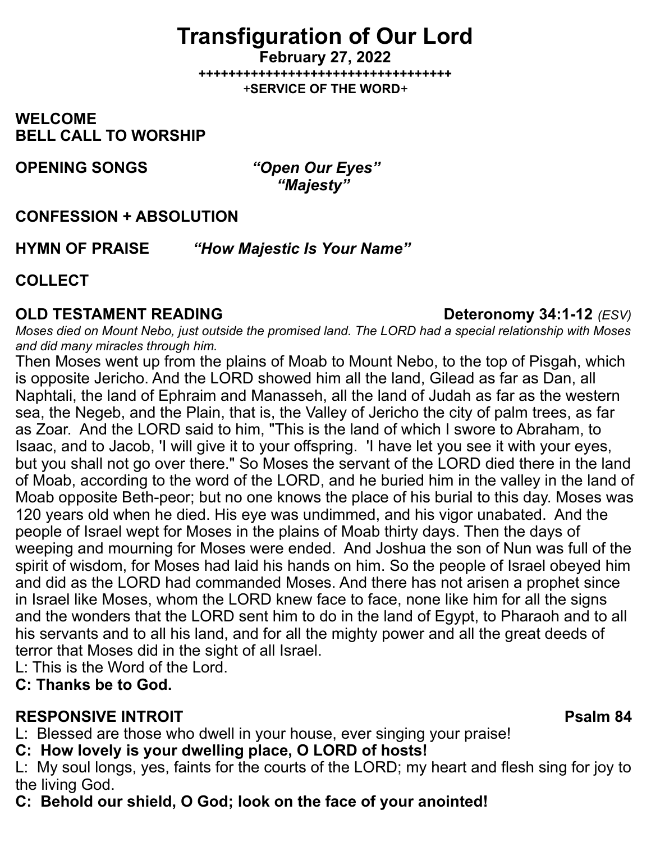# **Transfiguration of Our Lord**

**February 27, 2022 ++++++++++++++++++++++++++++++++++** *+***SERVICE OF THE WORD***+*

**WELCOME BELL CALL TO WORSHIP**

**OPENING SONGS** *"Open Our Eyes"* 

 *"Majesty"* 

## **CONFESSION + ABSOLUTION**

**HYMN OF PRAISE** *"How Majestic Is Your Name"* 

## **COLLECT**

## **OLD TESTAMENT READING Deteronomy 34:1-12** *(ESV)*

*Moses died on Mount Nebo, just outside the promised land. The LORD had a special relationship with Moses and did many miracles through him.*

Then Moses went up from the plains of Moab to Mount Nebo, to the top of Pisgah, which is opposite Jericho. And the LORD showed him all the land, Gilead as far as Dan, all Naphtali, the land of Ephraim and Manasseh, all the land of Judah as far as the western sea, the Negeb, and the Plain, that is, the Valley of Jericho the city of palm trees, as far as Zoar. And the LORD said to him, "This is the land of which I swore to Abraham, to Isaac, and to Jacob, 'I will give it to your offspring. 'I have let you see it with your eyes, but you shall not go over there." So Moses the servant of the LORD died there in the land of Moab, according to the word of the LORD, and he buried him in the valley in the land of Moab opposite Beth-peor; but no one knows the place of his burial to this day. Moses was 120 years old when he died. His eye was undimmed, and his vigor unabated. And the people of Israel wept for Moses in the plains of Moab thirty days. Then the days of weeping and mourning for Moses were ended. And Joshua the son of Nun was full of the spirit of wisdom, for Moses had laid his hands on him. So the people of Israel obeyed him and did as the LORD had commanded Moses. And there has not arisen a prophet since in Israel like Moses, whom the LORD knew face to face, none like him for all the signs and the wonders that the LORD sent him to do in the land of Egypt, to Pharaoh and to all his servants and to all his land, and for all the mighty power and all the great deeds of terror that Moses did in the sight of all Israel.

L: This is the Word of the Lord.

### **C: Thanks be to God.**

## **RESPONSIVE INTROIT Property 10 and 24 Property 10 and 24 Property 10 and 24 Property 10 and 24**

L: Blessed are those who dwell in your house, ever singing your praise!

**C: How lovely is your dwelling place, O LORD of hosts!**

L: My soul longs, yes, faints for the courts of the LORD; my heart and flesh sing for joy to the living God.

**C: Behold our shield, O God; look on the face of your anointed!**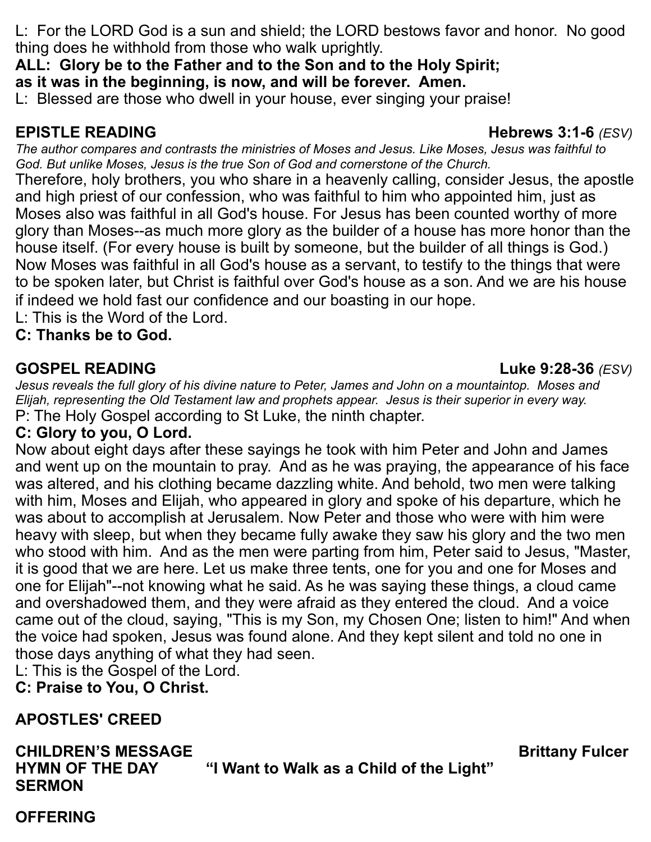L: For the LORD God is a sun and shield; the LORD bestows favor and honor. No good thing does he withhold from those who walk uprightly.

**ALL: Glory be to the Father and to the Son and to the Holy Spirit;**

**as it was in the beginning, is now, and will be forever. Amen.**

L: Blessed are those who dwell in your house, ever singing your praise!

**EPISTLE READING Hebrews 3:1-6** *(ESV)*

*The author compares and contrasts the ministries of Moses and Jesus. Like Moses, Jesus was faithful to God. But unlike Moses, Jesus is the true Son of God and cornerstone of the Church.*

Therefore, holy brothers, you who share in a heavenly calling, consider Jesus, the apostle and high priest of our confession, who was faithful to him who appointed him, just as Moses also was faithful in all God's house. For Jesus has been counted worthy of more glory than Moses--as much more glory as the builder of a house has more honor than the house itself. (For every house is built by someone, but the builder of all things is God.) Now Moses was faithful in all God's house as a servant, to testify to the things that were to be spoken later, but Christ is faithful over God's house as a son. And we are his house if indeed we hold fast our confidence and our boasting in our hope.

L: This is the Word of the Lord.

**C: Thanks be to God.**

## **GOSPEL READING Luke 9:28-36** *(ESV)*

*Jesus reveals the full glory of his divine nature to Peter, James and John on a mountaintop. Moses and Elijah, representing the Old Testament law and prophets appear. Jesus is their superior in every way.* P: The Holy Gospel according to St Luke, the ninth chapter.

## **C: Glory to you, O Lord.**

Now about eight days after these sayings he took with him Peter and John and James and went up on the mountain to pray. And as he was praying, the appearance of his face was altered, and his clothing became dazzling white. And behold, two men were talking with him, Moses and Elijah, who appeared in glory and spoke of his departure, which he was about to accomplish at Jerusalem. Now Peter and those who were with him were heavy with sleep, but when they became fully awake they saw his glory and the two men who stood with him. And as the men were parting from him, Peter said to Jesus, "Master, it is good that we are here. Let us make three tents, one for you and one for Moses and one for Elijah"--not knowing what he said. As he was saying these things, a cloud came and overshadowed them, and they were afraid as they entered the cloud. And a voice came out of the cloud, saying, "This is my Son, my Chosen One; listen to him!" And when the voice had spoken, Jesus was found alone. And they kept silent and told no one in those days anything of what they had seen.

L: This is the Gospel of the Lord.

**C: Praise to You, O Christ.**

## **APOSTLES' CREED**

**CHILDREN'S MESSAGE BRITTANY FULCER AND RESOLUTION CHILDREN'S MESSAGE AND RESOLUTION CHILDREN'S MESSAGE HYMN OF THE DAY "I Want to Walk as a Child of the Light" SERMON**

## **OFFERING**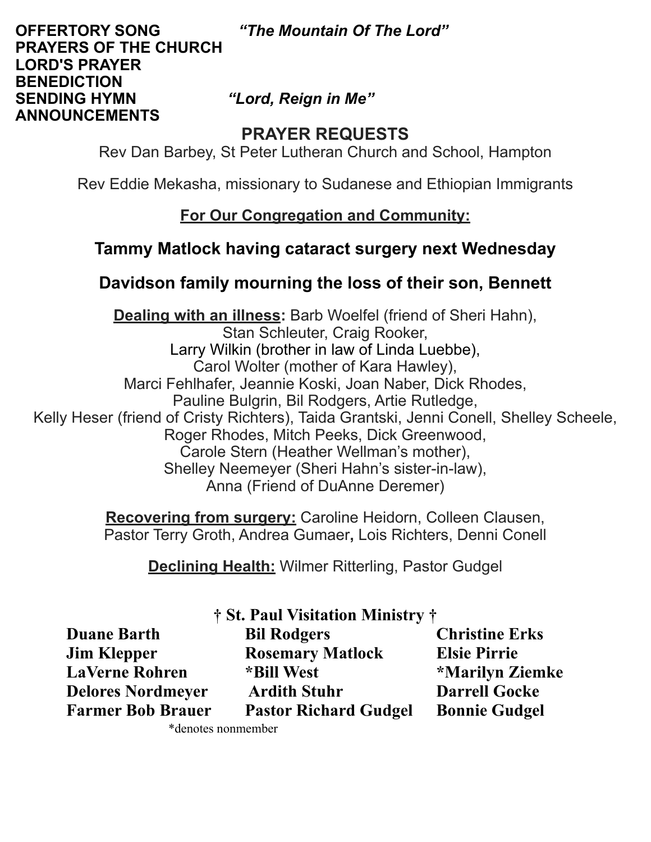#### **OFFERTORY SONG** *"The Mountain Of The Lord"*  **PRAYERS OF THE CHURCH LORD'S PRAYER BENEDICTION SENDING HYMN** *"Lord, Reign in Me"*  **ANNOUNCEMENTS**

## **PRAYER REQUESTS**

Rev Dan Barbey, St Peter Lutheran Church and School, Hampton

Rev Eddie Mekasha, missionary to Sudanese and Ethiopian Immigrants

## **For Our Congregation and Community:**

## **Tammy Matlock having cataract surgery next Wednesday**

## **Davidson family mourning the loss of their son, Bennett**

**Dealing with an illness:** Barb Woelfel (friend of Sheri Hahn), Stan Schleuter, Craig Rooker, Larry Wilkin (brother in law of Linda Luebbe), Carol Wolter (mother of Kara Hawley), Marci Fehlhafer, Jeannie Koski, Joan Naber, Dick Rhodes, Pauline Bulgrin, Bil Rodgers, Artie Rutledge, Kelly Heser (friend of Cristy Richters), Taida Grantski, Jenni Conell, Shelley Scheele, Roger Rhodes, Mitch Peeks, Dick Greenwood, Carole Stern (Heather Wellman's mother), Shelley Neemeyer (Sheri Hahn's sister-in-law), Anna (Friend of DuAnne Deremer)

> **Recovering from surgery:** Caroline Heidorn, Colleen Clausen, Pastor Terry Groth, Andrea Gumaer**,** Lois Richters, Denni Conell

> > **Declining Health:** Wilmer Ritterling, Pastor Gudgel

| † St. Paul Visitation Ministry † |                              |                        |  |  |  |
|----------------------------------|------------------------------|------------------------|--|--|--|
| <b>Duane Barth</b>               | <b>Bil Rodgers</b>           | <b>Christine Erks</b>  |  |  |  |
| <b>Jim Klepper</b>               | <b>Rosemary Matlock</b>      | <b>Elsie Pirrie</b>    |  |  |  |
| <b>LaVerne Rohren</b>            | *Bill West                   | <b>*Marilyn Ziemke</b> |  |  |  |
| <b>Delores Nordmeyer</b>         | <b>Ardith Stuhr</b>          | <b>Darrell Gocke</b>   |  |  |  |
| <b>Farmer Bob Brauer</b>         | <b>Pastor Richard Gudgel</b> | <b>Bonnie Gudgel</b>   |  |  |  |

\*denotes nonmember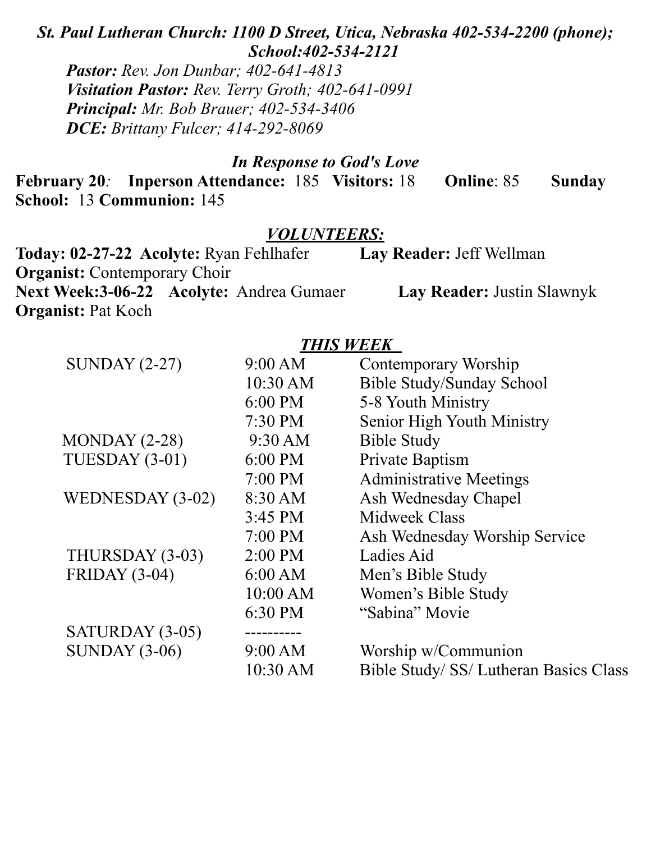*St. Paul Lutheran Church: 1100 D Street, Utica, Nebraska 402-534-2200 (phone); School:402-534-2121*

*Pastor: Rev. Jon Dunbar; 402-641-4813 Visitation Pastor: Rev. Terry Groth; 402-641-0991 Principal: Mr. Bob Brauer; 402-534-3406 DCE: Brittany Fulcer; 414-292-8069*

### *In Response to God's Love*

**February 20***:* **Inperson Attendance:** 185 **Visitors:** 18 **Online**: 85 **Sunday School:** 13 **Communion:** 145

#### *VOLUNTEERS:*

| Today: 02-27-22 Acolyte: Ryan Fehlhafer         | Lay Reader: Jeff Wellman   |  |  |
|-------------------------------------------------|----------------------------|--|--|
| <b>Organist:</b> Contemporary Choir             |                            |  |  |
| <b>Next Week:3-06-22 Acolyte: Andrea Gumaer</b> | Lay Reader: Justin Slawnyk |  |  |
| <b>Organist:</b> Pat Koch                       |                            |  |  |

## *THIS WEEK*

| 9:00 AM           | Contemporary Worship                   |
|-------------------|----------------------------------------|
| 10:30 AM          | <b>Bible Study/Sunday School</b>       |
| 6:00 PM           | 5-8 Youth Ministry                     |
| $7:30$ PM         | Senior High Youth Ministry             |
| 9:30 AM           | <b>Bible Study</b>                     |
| $6:00 \text{ PM}$ | Private Baptism                        |
| $7:00 \text{ PM}$ | <b>Administrative Meetings</b>         |
| 8:30 AM           | Ash Wednesday Chapel                   |
| 3:45 PM           | <b>Midweek Class</b>                   |
| 7:00 PM           | Ash Wednesday Worship Service          |
| 2:00 PM           | Ladies Aid                             |
| 6:00 AM           | Men's Bible Study                      |
| 10:00 AM          | Women's Bible Study                    |
| 6:30 PM           | "Sabina" Movie                         |
|                   |                                        |
| 9:00 AM           | Worship w/Communion                    |
| 10:30 AM          | Bible Study/ SS/ Lutheran Basics Class |
|                   |                                        |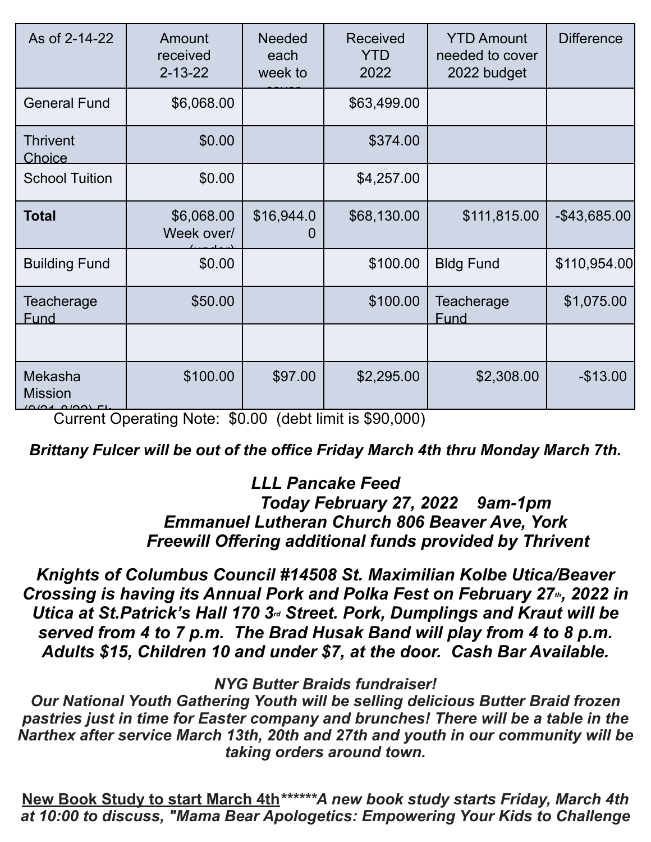| As of 2-14-22             | Amount<br>received<br>$2 - 13 - 22$ | <b>Needed</b><br>each<br>week to | <b>Received</b><br><b>YTD</b><br>2022 | <b>YTD Amount</b><br>needed to cover<br>2022 budget | <b>Difference</b> |
|---------------------------|-------------------------------------|----------------------------------|---------------------------------------|-----------------------------------------------------|-------------------|
| <b>General Fund</b>       | \$6,068.00                          |                                  | \$63,499.00                           |                                                     |                   |
| <b>Thrivent</b><br>Choice | \$0.00                              |                                  | \$374.00                              |                                                     |                   |
| <b>School Tuition</b>     | \$0.00                              |                                  | \$4,257.00                            |                                                     |                   |
| <b>Total</b>              | \$6,068.00<br>Week over/            | \$16,944.0<br>O                  | \$68,130.00                           | \$111,815.00                                        | $-$ \$43,685.00   |
| <b>Building Fund</b>      | \$0.00                              |                                  | \$100.00                              | <b>Bldg Fund</b>                                    | \$110,954.00      |
| Teacherage<br><b>Fund</b> | \$50.00                             |                                  | \$100.00                              | Teacherage<br>Fund                                  | \$1,075.00        |
|                           |                                     |                                  |                                       |                                                     |                   |
| Mekasha<br><b>Mission</b> | \$100.00                            | \$97.00                          | \$2,295.00                            | \$2,308.00                                          | $-$13.00$         |

And Current Operating Note: \$0.00 (debt limit is \$90,000)

## *Brittany Fulcer will be out of the office Friday March 4th thru Monday March 7th.*

## *LLL Pancake Feed*

 *Today February 27, 2022 9am-1pm Emmanuel Lutheran Church 806 Beaver Ave, York Freewill Offering additional funds provided by Thrivent*

*Knights of Columbus Council #14508 St. Maximilian Kolbe Utica/Beaver Crossing is having its Annual Pork and Polka Fest on February 27<sup>th</sup>, 2022 in Utica at St.Patrick's Hall 170 3rd Street. Pork, Dumplings and Kraut will be served from 4 to 7 p.m. The Brad Husak Band will play from 4 to 8 p.m. Adults \$15, Children 10 and under \$7, at the door. Cash Bar Available.*

### *NYG Butter Braids fundraiser!*

*Our National Youth Gathering Youth will be selling delicious Butter Braid frozen pastries just in time for Easter company and brunches! There will be a table in the Narthex after service March 13th, 20th and 27th and youth in our community will be taking orders around town.* 

**New Book Study to start March 4th***\*\*\*\*\*\*A new book study starts Friday, March 4th at 10:00 to discuss, "Mama Bear Apologetics: Empowering Your Kids to Challenge*